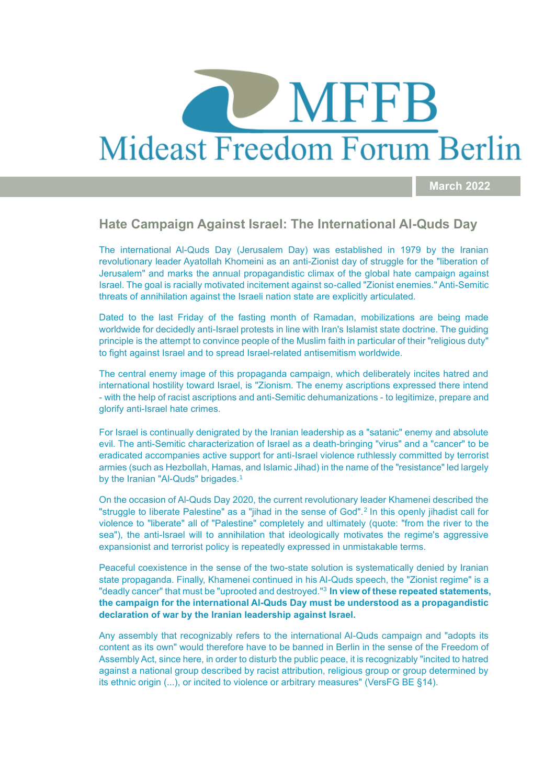# MFFB Mideast Freedom Forum Berlin

**March 2022**

## **Hate Campaign Against Israel: The International Al-Quds Day**

The international Al-Quds Day (Jerusalem Day) was established in 1979 by the Iranian revolutionary leader Ayatollah Khomeini as an anti-Zionist day of struggle for the "liberation of Jerusalem" and marks the annual propagandistic climax of the global hate campaign against Israel. The goal is racially motivated incitement against so-called "Zionist enemies." Anti-Semitic threats of annihilation against the Israeli nation state are explicitly articulated.

Dated to the last Friday of the fasting month of Ramadan, mobilizations are being made worldwide for decidedly anti-Israel protests in line with Iran's Islamist state doctrine. The guiding principle is the attempt to convince people of the Muslim faith in particular of their "religious duty" to fight against Israel and to spread Israel-related antisemitism worldwide.

The central enemy image of this propaganda campaign, which deliberately incites hatred and international hostility toward Israel, is "Zionism. The enemy ascriptions expressed there intend - with the help of racist ascriptions and anti-Semitic dehumanizations - to legitimize, prepare and glorify anti-Israel hate crimes.

For Israel is continually denigrated by the Iranian leadership as a "satanic" enemy and absolute evil. The anti-Semitic characterization of Israel as a death-bringing "virus" and a "cancer" to be eradicated accompanies active support for anti-Israel violence ruthlessly committed by terrorist armies (such as Hezbollah, Hamas, and Islamic Jihad) in the name of the "resistance" led largely by the Iranian "Al-Quds" brigades.<sup>1</sup>

On the occasion of Al-Quds Day 2020, the current revolutionary leader Khamenei described the "struggle to liberate Palestine" as a "jihad in the sense of God".<sup>2</sup> In this openly jihadist call for violence to "liberate" all of "Palestine" completely and ultimately (quote: "from the river to the sea"), the anti-Israel will to annihilation that ideologically motivates the regime's aggressive expansionist and terrorist policy is repeatedly expressed in unmistakable terms.

Peaceful coexistence in the sense of the two-state solution is systematically denied by Iranian state propaganda. Finally, Khamenei continued in his Al-Quds speech, the "Zionist regime" is a "deadly cancer" that must be "uprooted and destroyed."<sup>3</sup> **In view of these repeated statements, the campaign for the international Al-Quds Day must be understood as a propagandistic declaration of war by the Iranian leadership against Israel.** 

Any assembly that recognizably refers to the international Al-Quds campaign and "adopts its content as its own" would therefore have to be banned in Berlin in the sense of the Freedom of Assembly Act, since here, in order to disturb the public peace, it is recognizably "incited to hatred against a national group described by racist attribution, religious group or group determined by its ethnic origin (...), or incited to violence or arbitrary measures" (VersFG BE §14).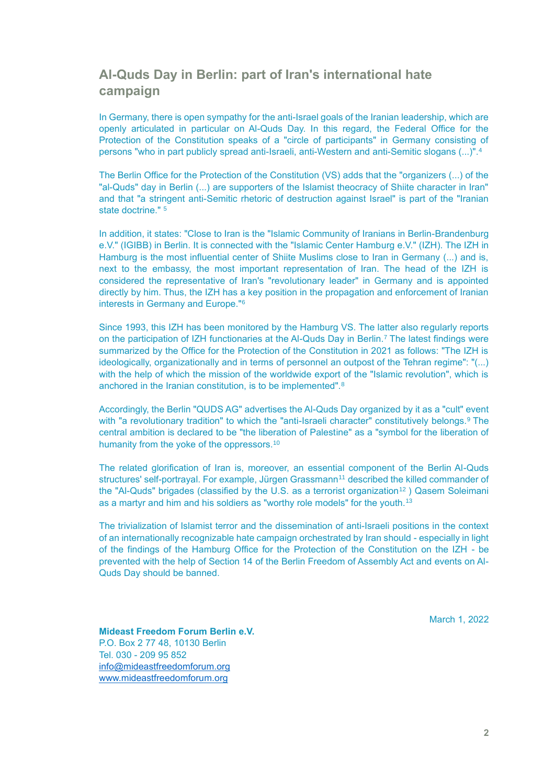# **Al-Quds Day in Berlin: part of Iran's international hate campaign**

In Germany, there is open sympathy for the anti-Israel goals of the Iranian leadership, which are openly articulated in particular on Al-Quds Day. In this regard, the Federal Office for the Protection of the Constitution speaks of a "circle of participants" in Germany consisting of persons "who in part publicly spread anti-Israeli, anti-Western and anti-Semitic slogans (...)".<sup>4</sup>

The Berlin Office for the Protection of the Constitution (VS) adds that the "organizers (...) of the "al-Quds" day in Berlin (...) are supporters of the Islamist theocracy of Shiite character in Iran" and that "a stringent anti-Semitic rhetoric of destruction against Israel" is part of the "Iranian state doctrine." 5

In addition, it states: "Close to Iran is the "Islamic Community of Iranians in Berlin-Brandenburg e.V." (IGIBB) in Berlin. It is connected with the "Islamic Center Hamburg e.V." (IZH). The IZH in Hamburg is the most influential center of Shiite Muslims close to Iran in Germany (...) and is, next to the embassy, the most important representation of Iran. The head of the IZH is considered the representative of Iran's "revolutionary leader" in Germany and is appointed directly by him. Thus, the IZH has a key position in the propagation and enforcement of Iranian interests in Germany and Europe."<sup>6</sup>

Since 1993, this IZH has been monitored by the Hamburg VS. The latter also regularly reports on the participation of IZH functionaries at the Al-Quds Day in Berlin.<sup>7</sup> The latest findings were summarized by the Office for the Protection of the Constitution in 2021 as follows: "The IZH is ideologically, organizationally and in terms of personnel an outpost of the Tehran regime": "(...) with the help of which the mission of the worldwide export of the "Islamic revolution", which is anchored in the Iranian constitution, is to be implemented".<sup>8</sup>

Accordingly, the Berlin "QUDS AG" advertises the Al-Quds Day organized by it as a "cult" event with "a revolutionary tradition" to which the "anti-Israeli character" constitutively belongs.<sup>9</sup> The central ambition is declared to be "the liberation of Palestine" as a "symbol for the liberation of humanity from the yoke of the oppressors.<sup>10</sup>

The related glorification of Iran is, moreover, an essential component of the Berlin Al-Quds structures' self-portrayal. For example, Jürgen Grassmann<sup>11</sup> described the killed commander of the "Al-Quds" brigades (classified by the U.S. as a terrorist organization<sup>12</sup>) Qasem Soleimani as a martyr and him and his soldiers as "worthy role models" for the youth.<sup>13</sup>

The trivialization of Islamist terror and the dissemination of anti-Israeli positions in the context of an internationally recognizable hate campaign orchestrated by Iran should - especially in light of the findings of the Hamburg Office for the Protection of the Constitution on the IZH - be prevented with the help of Section 14 of the Berlin Freedom of Assembly Act and events on Al-Quds Day should be banned.

March 1, 2022

**Mideast Freedom Forum Berlin e.V.** P.O. Box 2 77 48, 10130 Berlin Tel. 030 - 209 95 852 [info@mideastfreedomforum.org](mailto:info@mideastfreedomforum.org)  [www.mideastfreedomforum.org](http://www.mideastfreedomforum.org/)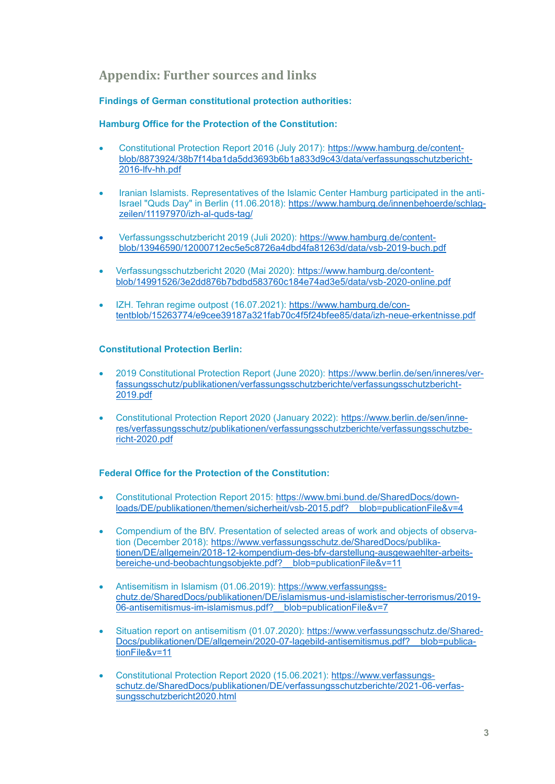## **Appendix: Further sources and links**

#### **Findings of German constitutional protection authorities:**

### **Hamburg Office for the Protection of the Constitution:**

- Constitutional Protection Report 2016 (July 2017): [https://www.hamburg.de/content](https://www.hamburg.de/contentblob/8873924/38b7f14ba1da5dd3693b6b1a833d9c43/data/verfassungsschutzbericht-2016-lfv-hh.pdf)[blob/8873924/38b7f14ba1da5dd3693b6b1a833d9c43/data/verfassungsschutzbericht-](https://www.hamburg.de/contentblob/8873924/38b7f14ba1da5dd3693b6b1a833d9c43/data/verfassungsschutzbericht-2016-lfv-hh.pdf)[2016-lfv-hh.pdf](https://www.hamburg.de/contentblob/8873924/38b7f14ba1da5dd3693b6b1a833d9c43/data/verfassungsschutzbericht-2016-lfv-hh.pdf)
- Iranian Islamists. Representatives of the Islamic Center Hamburg participated in the antiIsrael "Quds Day" in Berlin (11.06.2018): [https://www.hamburg.de/innenbehoerde/schlag](https://www.hamburg.de/innenbehoerde/schlagzeilen/11197970/izh-al-quds-tag/)[zeilen/11197970/izh-al-quds-tag/](https://www.hamburg.de/innenbehoerde/schlagzeilen/11197970/izh-al-quds-tag/)
- Verfassungsschutzbericht 2019 (Juli 2020): [https:/](https://www.hamburg.de/contentblob/13946590/12000712ec5e5c8726a4dbd4fa81263d/data/vsb-2019-buch.pdf)/www.hamburg.de/contentblob/13946590/12000712ec5e5c8726a4dbd4fa81263d/data/vsb-2019-buch.pdf
- Verfassungsschutzbericht 2020 (Mai 2020): [https://www.hamburg.de/content](https://www.hamburg.de/contentblob/14991526/3e2dd876b7bdbd583760c184e74ad3e5/data/vsb-2020-online.pdf)[blob/14991526/3e2dd876b7bdbd583760c184e74ad3e5/data/vsb-2020-online.pdf](https://www.hamburg.de/contentblob/14991526/3e2dd876b7bdbd583760c184e74ad3e5/data/vsb-2020-online.pdf)
- IZH. Tehran regime outpost (16.07.2021): [https://www.hamburg.de/con](https://www.hamburg.de/contentblob/15263774/e9cee39187a321fab70c4f5f24bfee85/data/izh-neue-erkentnisse.pdf)[tentblob/15263774/e9cee39187a321fab70c4f5f24bfee85/data/izh-neue-erkentnisse.pdf](https://www.hamburg.de/contentblob/15263774/e9cee39187a321fab70c4f5f24bfee85/data/izh-neue-erkentnisse.pdf)

#### **Constitutional Protection Berlin:**

- 2019 Constitutional Protection Report (June 2020): [https://www.berlin.de/sen/inneres/ver](https://www.berlin.de/sen/inneres/verfassungsschutz/publikationen/verfassungsschutzberichte/verfassungsschutzbericht-2019.pdf)[fassungsschutz/publikationen/verfassungsschutzberichte/verfassungsschutzbericht-](https://www.berlin.de/sen/inneres/verfassungsschutz/publikationen/verfassungsschutzberichte/verfassungsschutzbericht-2019.pdf)[2019.pdf](https://www.berlin.de/sen/inneres/verfassungsschutz/publikationen/verfassungsschutzberichte/verfassungsschutzbericht-2019.pdf)
- Constitutional Protection Report 2020 (January 2022): [https://www.berlin.de/sen/inne](https://www.berlin.de/sen/inneres/verfassungsschutz/publikationen/verfassungsschutzberichte/verfassungsschutzbericht-2020.pdf)[res/verfassungsschutz/publikationen/verfassungsschutzberichte/verfassungsschutzbe](https://www.berlin.de/sen/inneres/verfassungsschutz/publikationen/verfassungsschutzberichte/verfassungsschutzbericht-2020.pdf)[richt-2020.pdf](https://www.berlin.de/sen/inneres/verfassungsschutz/publikationen/verfassungsschutzberichte/verfassungsschutzbericht-2020.pdf)

#### **Federal Office for the Protection of the Constitution:**

- Constitutional Protection Report 2015: [https://www.bmi.bund.de/SharedDocs/down](https://www.bmi.bund.de/SharedDocs/downloads/DE/publikationen/themen/sicherheit/vsb-2015.pdf?__blob=publicationFile&v=4)[loads/DE/publikationen/themen/sicherheit/vsb-2015.pdf?\\_\\_blob=publicationFile&v=4](https://www.bmi.bund.de/SharedDocs/downloads/DE/publikationen/themen/sicherheit/vsb-2015.pdf?__blob=publicationFile&v=4)
- Compendium of the BfV. Presentation of selected areas of work and objects of observation (December 2018): [https://www.verfassungsschutz.de/SharedDocs/publika](https://www.verfassungsschutz.de/SharedDocs/publikationen/DE/allgemein/2018-12-kompendium-des-bfv-darstellung-ausgewaehlter-arbeitsbereiche-und-beobachtungsobjekte.pdf?__blob=publicationFile&v=11)[tionen/DE/allgemein/2018-12-kompendium-des-bfv-darstellung-ausgewaehlter-arbeits](https://www.verfassungsschutz.de/SharedDocs/publikationen/DE/allgemein/2018-12-kompendium-des-bfv-darstellung-ausgewaehlter-arbeitsbereiche-und-beobachtungsobjekte.pdf?__blob=publicationFile&v=11)[bereiche-und-beobachtungsobjekte.pdf?\\_\\_blob=publicationFile&v=11](https://www.verfassungsschutz.de/SharedDocs/publikationen/DE/allgemein/2018-12-kompendium-des-bfv-darstellung-ausgewaehlter-arbeitsbereiche-und-beobachtungsobjekte.pdf?__blob=publicationFile&v=11)
- Antisemitism in Islamism (01.06.2019): [https://www.verfassungss](https://www.verfassungsschutz.de/SharedDocs/publikationen/DE/islamismus-und-islamistischer-terrorismus/2019-06-antisemitismus-im-islamismus.pdf?__blob=publicationFile&v=7)[chutz.de/SharedDocs/publikationen/DE/islamismus-und-islamistischer-terrorismus/2019-](https://www.verfassungsschutz.de/SharedDocs/publikationen/DE/islamismus-und-islamistischer-terrorismus/2019-06-antisemitismus-im-islamismus.pdf?__blob=publicationFile&v=7) 06-antisemitismus-im-islamismus.pdf? blob=publicationFile&v=7
- Situation report on antisemitism (01.07.2020): [https://www.verfassungsschutz.de/Shared-](https://www.verfassungsschutz.de/SharedDocs/publikationen/DE/allgemein/2020-07-lagebild-antisemitismus.pdf?__blob=publicationFile&v=11)[Docs/publikationen/DE/allgemein/2020-07-lagebild-antisemitismus.pdf?\\_\\_blob=publica](https://www.verfassungsschutz.de/SharedDocs/publikationen/DE/allgemein/2020-07-lagebild-antisemitismus.pdf?__blob=publicationFile&v=11)[tionFile&v=11](https://www.verfassungsschutz.de/SharedDocs/publikationen/DE/allgemein/2020-07-lagebild-antisemitismus.pdf?__blob=publicationFile&v=11)
- Constitutional Protection Report 2020 (15.06.2021): [https://www.verfassungs](https://www.verfassungsschutz.de/SharedDocs/publikationen/DE/verfassungsschutzberichte/2021-06-verfassungsschutzbericht2020.html)[schutz.de/SharedDocs/publikationen/DE/verfassungsschutzberichte/2021-06-verfas](https://www.verfassungsschutz.de/SharedDocs/publikationen/DE/verfassungsschutzberichte/2021-06-verfassungsschutzbericht2020.html)[sungsschutzbericht2020.html](https://www.verfassungsschutz.de/SharedDocs/publikationen/DE/verfassungsschutzberichte/2021-06-verfassungsschutzbericht2020.html)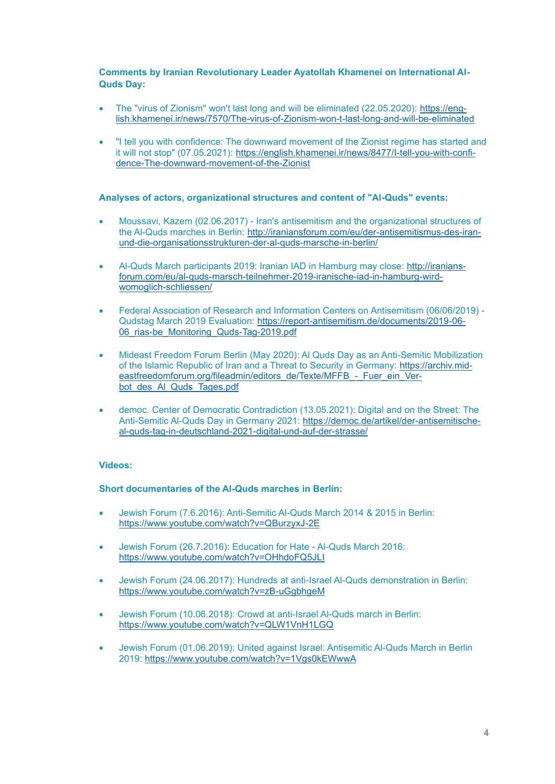#### **Comments by Iranian Revolutionary Leader Ayatollah Khamenei on International Al-Quds Day:**

- The "virus of Zionism" won't last long and will be eliminated (22.05.2020): [https://eng](https://english.khamenei.ir/news/7570/The-virus-of-Zionism-won-t-last-long-and-will-be-eliminated)[lish.khamenei.ir/news/7570/The-virus-of-Zionism-won-t-last-long-and-will-be-eliminated](https://english.khamenei.ir/news/7570/The-virus-of-Zionism-won-t-last-long-and-will-be-eliminated)
- "I tell you with confidence: The downward movement of the Zionist regime has started and it will not stop" (07.05.2021): [https://english.khamenei.ir/news/8477/I-tell-you-with-confi](https://english.khamenei.ir/news/8477/I-tell-you-with-confidence-The-downward-movement-of-the-Zionist)[dence-The-downward-movement-of-the-Zionist](https://english.khamenei.ir/news/8477/I-tell-you-with-confidence-The-downward-movement-of-the-Zionist)

#### **Analyses of actors, organizational structures and content of "Al-Quds" events:**

- Moussavi, Kazem (02.06.2017) Iran's antisemitism and the organizational structures of the Al-Quds marches in Berlin: [http://iraniansforum.com/eu/der-antisemitismus-des-iran](http://iraniansforum.com/eu/der-antisemitismus-des-iran-und-die-organisationsstrukturen-der-al-quds-marsche-in-berlin/)[und-die-organisationsstrukturen-der-al-quds-marsche-in-berlin/](http://iraniansforum.com/eu/der-antisemitismus-des-iran-und-die-organisationsstrukturen-der-al-quds-marsche-in-berlin/)
- Al-Quds March participants 2019: Iranian IAD in Hamburg may close: [http://iranians](http://iraniansforum.com/eu/al-quds-marsch-teilnehmer-2019-iranische-iad-in-hamburg-wird-womoglich-schliessen/)[forum.com/eu/al-quds-marsch-teilnehmer-2019-iranische-iad-in-hamburg-wird](http://iraniansforum.com/eu/al-quds-marsch-teilnehmer-2019-iranische-iad-in-hamburg-wird-womoglich-schliessen/)[womoglich-schliessen/](http://iraniansforum.com/eu/al-quds-marsch-teilnehmer-2019-iranische-iad-in-hamburg-wird-womoglich-schliessen/)
- Federal Association of Research and Information Centers on Antisemitism (06/06/2019) Qudstag March 2019 Evaluation: [https://report-antisemitism.de/documents/2019-06-](https://report-antisemitism.de/documents/2019-06-06_rias-be_Monitoring_Quds-Tag-2019.pdf) 06 rias-be Monitoring Quds-Tag-2019.pdf
- Mideast Freedom Forum Berlin (May 2020): Al Quds Day as an Anti-Semitic Mobilization of the Islamic Republic of Iran and a Threat to Security in Germany: [https://archiv.mid](https://archiv.mideastfreedomforum.org/fileadmin/editors_de/Texte/MFFB_-_Fuer_ein_Verbot_des_Al_Quds_Tages.pdf)[eastfreedomforum.org/fileadmin/editors\\_de/Texte/MFFB\\_-\\_Fuer\\_ein\\_Ver](https://archiv.mideastfreedomforum.org/fileadmin/editors_de/Texte/MFFB_-_Fuer_ein_Verbot_des_Al_Quds_Tages.pdf)bot des Al Quds Tages.pdf
- democ. Center of Democratic Contradiction (13.05.2021): Digital and on the Street: The Anti-Semitic Al-Quds Day in Germany 2021: [https://democ.de/artikel/der-antisemitische](https://democ.de/artikel/der-antisemitische-al-quds-tag-in-deutschland-2021-digital-und-auf-der-strasse/)[al-quds-tag-in-deutschland-2021-digital-und-auf-der-strasse/](https://democ.de/artikel/der-antisemitische-al-quds-tag-in-deutschland-2021-digital-und-auf-der-strasse/)

## **Videos:**

#### **Short documentaries of the Al-Quds marches in Berlin:**

- Jewish Forum (7.6.2016): Anti-Semitic Al-Quds March 2014 & 2015 in Berlin: <https://www.youtube.com/watch?v=QBurzyxJ-2E>
- Jewish Forum (26.7.2016): Education for Hate Al-Quds March 2016: <https://www.youtube.com/watch?v=OHhdoFQ5JLI>
- Jewish Forum (24.06.2017): Hundreds at anti-Israel Al-Quds demonstration in Berlin: <https://www.youtube.com/watch?v=zB-uGgbhgeM>
- Jewish Forum (10.06.2018): Crowd at anti-Israel Al-Quds march in Berlin: <https://www.youtube.com/watch?v=QLW1VnH1LGQ>
- Jewish Forum (01.06.2019): United against Israel: Antisemitic Al-Quds March in Berlin 2019:<https://www.youtube.com/watch?v=1Vgs0kEWwwA>